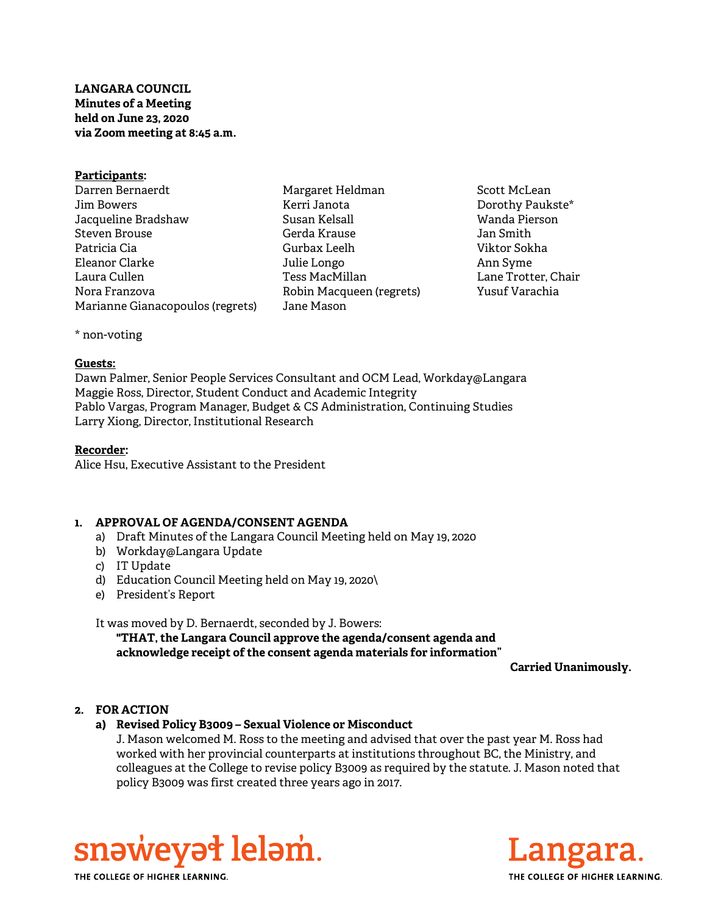# LANGARA COUNCIL Minutes of a Meeting held on June 23, 2020 via Zoom meeting at 8:45 a.m.

#### Participants:

Darren Bernaerdt Jim Bowers Jacqueline Bradshaw Steven Brouse Patricia Cia Eleanor Clarke Laura Cullen Nora Franzova Marianne Gianacopoulos (regrets)

Margaret Heldman Kerri Janota Susan Kelsall Gerda Krause Gurbax Leelh Julie Longo Tess MacMillan Robin Macqueen (regrets) Jane Mason

Scott McLean Dorothy Paukste\* Wanda Pierson Jan Smith Viktor Sokha Ann Syme Lane Trotter, Chair Yusuf Varachia

\* non-voting

#### Guests:

Dawn Palmer, Senior People Services Consultant and OCM Lead, Workday@Langara Maggie Ross, Director, Student Conduct and Academic Integrity Pablo Vargas, Program Manager, Budget & CS Administration, Continuing Studies Larry Xiong, Director, Institutional Research

## Recorder:

Alice Hsu, Executive Assistant to the President

## 1. APPROVAL OF AGENDA/CONSENT AGENDA

- a) Draft Minutes of the Langara Council Meeting held on May 19, 2020
- b) Workday@Langara Update
- c) IT Update
- d) Education Council Meeting held on May 19, 2020\
- e) President's Report

## It was moved by D. Bernaerdt, seconded by J. Bowers:

"THAT, the Langara Council approve the agenda/consent agenda and acknowledge receipt of the consent agenda materials for information"

Carried Unanimously.

## 2. FOR ACTION

## a) Revised Policy B3009 – Sexual Violence or Misconduct

J. Mason welcomed M. Ross to the meeting and advised that over the past year M. Ross had worked with her provincial counterparts at institutions throughout BC, the Ministry, and colleagues at the College to revise policy B3009 as required by the statute. J. Mason noted that policy B3009 was first created three years ago in 2017.





THE COLLEGE OF HIGHER LEARNING.